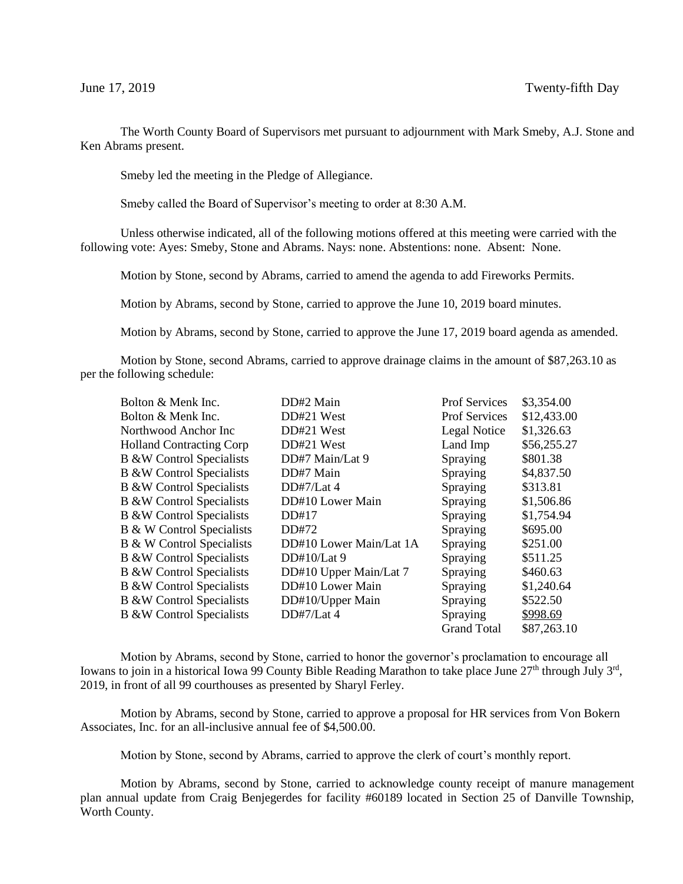The Worth County Board of Supervisors met pursuant to adjournment with Mark Smeby, A.J. Stone and Ken Abrams present.

Smeby led the meeting in the Pledge of Allegiance.

Smeby called the Board of Supervisor's meeting to order at 8:30 A.M.

Unless otherwise indicated, all of the following motions offered at this meeting were carried with the following vote: Ayes: Smeby, Stone and Abrams. Nays: none. Abstentions: none. Absent: None.

Motion by Stone, second by Abrams, carried to amend the agenda to add Fireworks Permits.

Motion by Abrams, second by Stone, carried to approve the June 10, 2019 board minutes.

Motion by Abrams, second by Stone, carried to approve the June 17, 2019 board agenda as amended.

Motion by Stone, second Abrams, carried to approve drainage claims in the amount of \$87,263.10 as per the following schedule:

| Bolton & Menk Inc.                  | DD#2 Main               | <b>Prof Services</b> | \$3,354.00  |
|-------------------------------------|-------------------------|----------------------|-------------|
| Bolton & Menk Inc.                  | DD#21 West              | <b>Prof Services</b> | \$12,433.00 |
| Northwood Anchor Inc                | DD#21 West              | Legal Notice         | \$1,326.63  |
| <b>Holland Contracting Corp</b>     | DD#21 West              | Land Imp             | \$56,255.27 |
| <b>B &amp;W Control Specialists</b> | DD#7 Main/Lat 9         | Spraying             | \$801.38    |
| <b>B &amp;W Control Specialists</b> | DD#7 Main               | Spraying             | \$4,837.50  |
| <b>B &amp;W Control Specialists</b> | DD#7/Lat $4$            | Spraying             | \$313.81    |
| <b>B &amp;W Control Specialists</b> | DD#10 Lower Main        | Spraying             | \$1,506.86  |
| <b>B &amp;W Control Specialists</b> | DD#17                   | Spraying             | \$1,754.94  |
| B & W Control Specialists           | DD#72                   | Spraying             | \$695.00    |
| B & W Control Specialists           | DD#10 Lower Main/Lat 1A | Spraying             | \$251.00    |
| <b>B &amp;W</b> Control Specialists | DD#10/Lat 9             | Spraying             | \$511.25    |
| <b>B &amp;W Control Specialists</b> | DD#10 Upper Main/Lat 7  | Spraying             | \$460.63    |
| <b>B &amp;W Control Specialists</b> | DD#10 Lower Main        | Spraying             | \$1,240.64  |
| <b>B &amp;W Control Specialists</b> | DD#10/Upper Main        | Spraying             | \$522.50    |
| <b>B &amp;W Control Specialists</b> | DD#7/Lat 4              | Spraying             | \$998.69    |
|                                     |                         | <b>Grand Total</b>   | \$87.263.10 |

Motion by Abrams, second by Stone, carried to honor the governor's proclamation to encourage all Iowans to join in a historical Iowa 99 County Bible Reading Marathon to take place June 27<sup>th</sup> through July 3<sup>rd</sup>, 2019, in front of all 99 courthouses as presented by Sharyl Ferley.

Motion by Abrams, second by Stone, carried to approve a proposal for HR services from Von Bokern Associates, Inc. for an all-inclusive annual fee of \$4,500.00.

Motion by Stone, second by Abrams, carried to approve the clerk of court's monthly report.

Motion by Abrams, second by Stone, carried to acknowledge county receipt of manure management plan annual update from Craig Benjegerdes for facility #60189 located in Section 25 of Danville Township, Worth County.